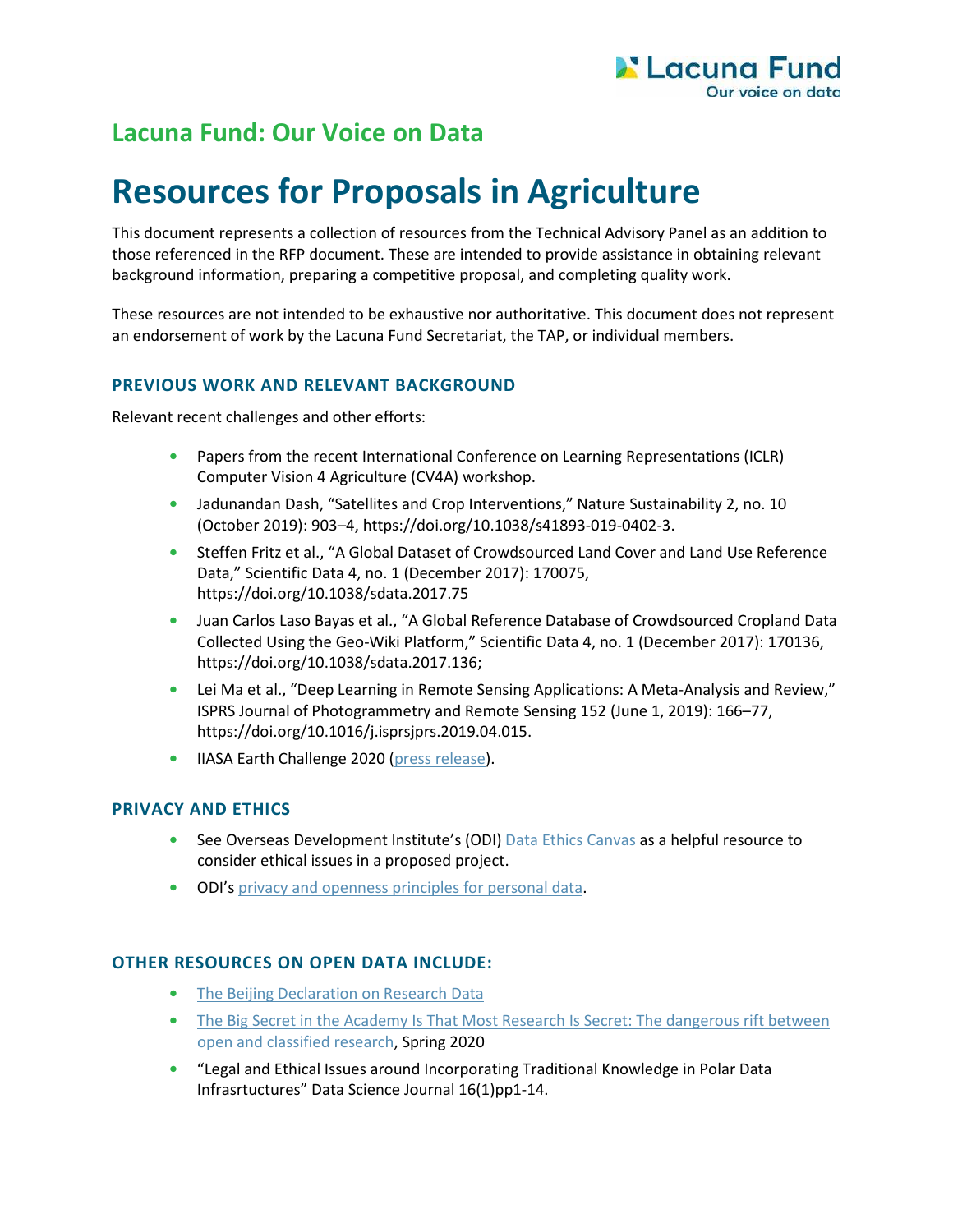# **Lacuna Fund: Our Voice on Data**

# **Resources for Proposals in Agriculture**

This document represents a collection of resources from the Technical Advisory Panel as an addition to those referenced in the RFP document. These are intended to provide assistance in obtaining relevant background information, preparing a competitive proposal, and completing quality work.

These resources are not intended to be exhaustive nor authoritative. This document does not represent an endorsement of work by the Lacuna Fund Secretariat, the TAP, or individual members.

# **PREVIOUS WORK AND RELEVANT BACKGROUND**

Relevant recent challenges and other efforts:

- Papers from the recent International Conference on Learning Representations (ICLR) Computer Vision 4 Agriculture (CV4A) [workshop.](https://www.cv4gc.org/cv4a2020/)
- **•** Jadunandan Dash, "Satellites and Crop Interventions," Nature Sustainability 2, no. 10 (October 2019): 903–4, [https://doi.org/10.1038/s41893-019-0402-3.](https://doi.org/10.1038/s41893-019-0402-3)
- **•** Steffen Fritz et al., "A Global Dataset of Crowdsourced Land Cover and Land Use Reference Data," Scientific Data 4, no. 1 (December 2017): 170075, <https://doi.org/10.1038/sdata.2017.75>
- **•** Juan Carlos Laso Bayas et al., "A Global Reference Database of Crowdsourced Cropland Data Collected Using the Geo-Wiki Platform," Scientific Data 4, no. 1 (December 2017): 170136, [https://doi.org/10.1038/sdata.2017.136;](https://doi.org/10.1038/sdata.2017.136)
- **•** Lei Ma et al., "Deep Learning in Remote Sensing Applications: A Meta-Analysis and Review," ISPRS Journal of Photogrammetry and Remote Sensing 152 (June 1, 2019): 166–77, [https://doi.org/10.1016/j.isprsjprs.2019.04.015.](https://doi.org/10.1016/j.isprsjprs.2019.04.015)
- **•** IIASA Earth Challenge 2020 (press release).

#### **PRIVACY AND ETHICS**

- **•** See Overseas Development Institute's (ODI) [Data Ethics Canvas](https://theodi.org/article/data-ethics-canvas/) as a helpful resource to consider ethical issues in a proposed project.
- **•** ODI's [privacy and openness principles for personal data.](https://theodi.org/article/openness-principles-for-organisations-handling-personal-data/)

# **OTHER RESOURCES ON OPEN DATA INCLUDE:**

- **•** [The Beijing Declaration on Research Data](http://www.codata.org/uploads/Beijing%20Declaration-19-11-07-FINAL.pdf)
- **•** [The Big Secret in the Academy Is That Most Research Is Secret: The dangerous rift between](https://www.aaup.org/article/big-secret-academy-most-research-secret#.Xs7TDERKhhE)  [open and classified research,](https://www.aaup.org/article/big-secret-academy-most-research-secret#.Xs7TDERKhhE) Spring 2020
- **•** "Legal and Ethical Issues around Incorporating Traditional Knowledge in Polar Data Infrasrtuctures" Data Science Journal 16(1)pp1-14.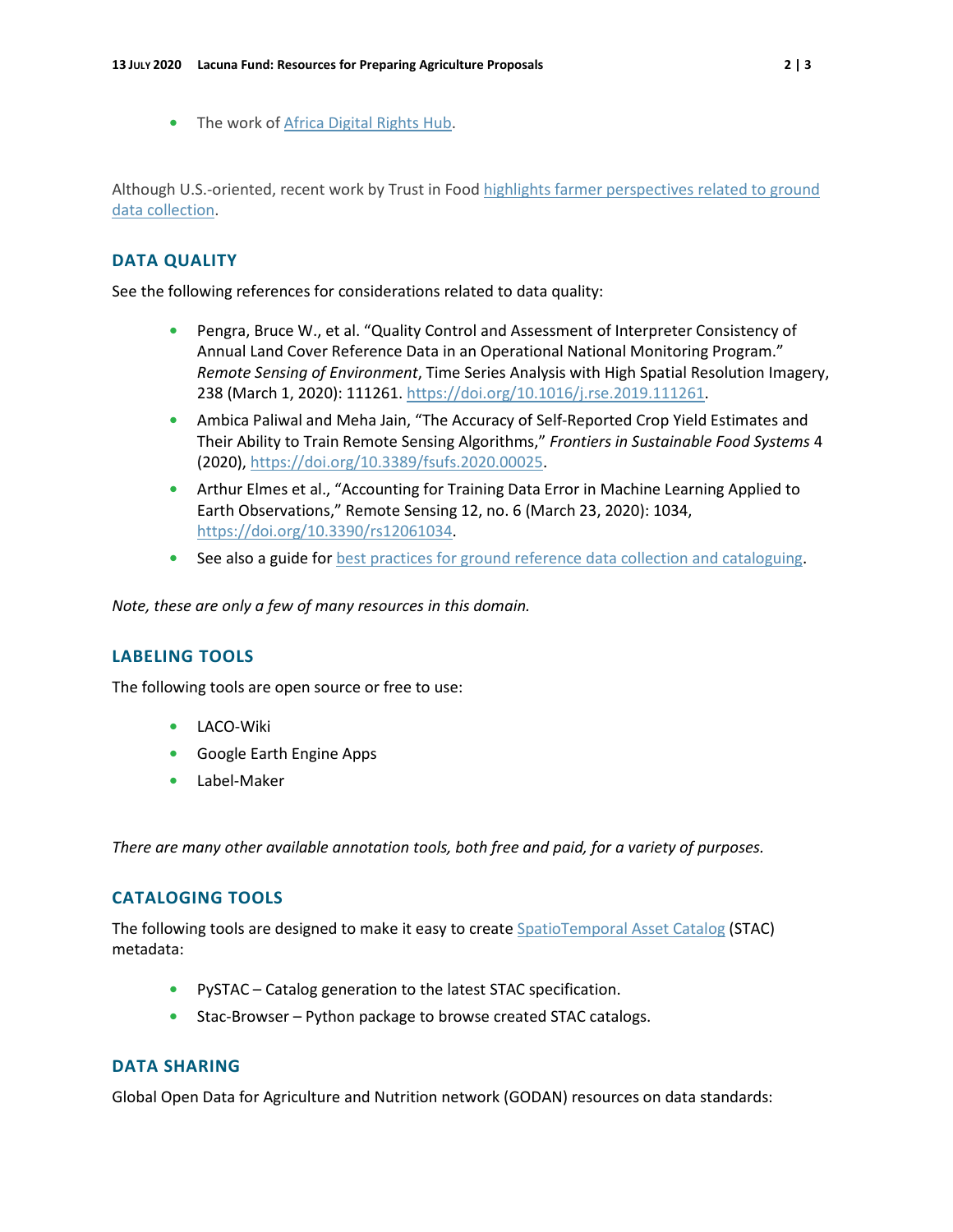**•** The work o[f Africa Digital Rights Hub.](https://africadigitalrightshub.org/)

Although U.S.-oriented, recent work by Trust in Food [highlights farmer perspectives related to ground](https://www.trustinfood.com/2020/05/12/new-research-highlights-farmer-perspectives-on-farm-level-data-collection-and-sharing/)  [data collection.](https://www.trustinfood.com/2020/05/12/new-research-highlights-farmer-perspectives-on-farm-level-data-collection-and-sharing/)

### **DATA QUALITY**

See the following references for considerations related to data quality:

- **•** Pengra, Bruce W., et al. "Quality Control and Assessment of Interpreter Consistency of Annual Land Cover Reference Data in an Operational National Monitoring Program." *Remote Sensing of Environment*, Time Series Analysis with High Spatial Resolution Imagery, 238 (March 1, 2020): 111261. [https://doi.org/10.1016/j.rse.2019.111261.](https://doi.org/10.1016/j.rse.2019.111261)
- **•** Ambica Paliwal and Meha Jain, "The Accuracy of Self-Reported Crop Yield Estimates and Their Ability to Train Remote Sensing Algorithms," *Frontiers in Sustainable Food Systems* 4 (2020), [https://doi.org/10.3389/fsufs.2020.00025.](https://doi.org/10.3389/fsufs.2020.00025)
- **•** Arthur Elmes et al., "Accounting for Training Data Error in Machine Learning Applied to Earth Observations," Remote Sensing 12, no. 6 (March 23, 2020): 1034, [https://doi.org/10.3390/rs12061034.](https://doi.org/10.3390/rs12061034)
- See also a guide for [best practices for ground reference data collection and cataloguing.](https://github.com/radiantearth/ground-referencing-guide)

*Note, these are only a few of many resources in this domain.*

#### **LABELING TOOLS**

The following tools are open source or free to use:

- **•** [LACO-Wiki](https://laco-wiki.net/)
- **•** [Google Earth Engine Apps](https://www.earthengine.app/)
- **•** [Label-Maker](https://pypi.org/project/label-maker/)

*There are many other available annotation tools, both free and paid, for a variety of purposes.*

#### **CATALOGING TOOLS**

The following tools are designed to make it easy to create [SpatioTemporal Asset Catalog](https://github.com/radiantearth/stac-spec) (STAC) metadata:

- **•** [PySTAC](https://github.com/azavea/pystac)  Catalog generation to the latest STAC specification.
- **•** [Stac-Browser](https://github.com/radiantearth/stac-browser)  Python package to browse created STAC catalogs.

#### **DATA SHARING**

Global Open Data for Agriculture and Nutrition network (GODAN) resources on data standards: